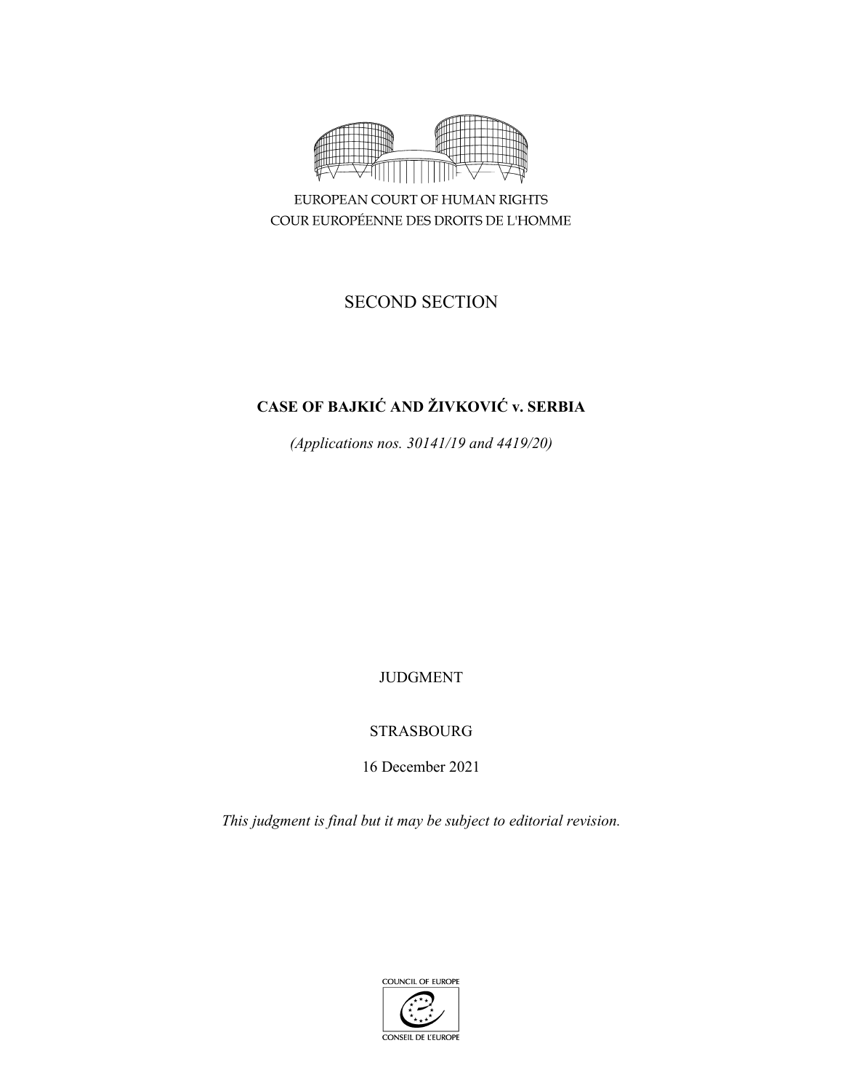

COUR EUROPÉENNE DES DROITS DE L'HOMME

# SECOND SECTION

# **CASE OF BAJKIĆ AND ŽIVKOVIĆ v. SERBIA**

*(Applications nos. 30141/19 and 4419/20)* 

JUDGMENT

# STRASBOURG

16 December 2021

*This judgment is final but it may be subject to editorial revision.*

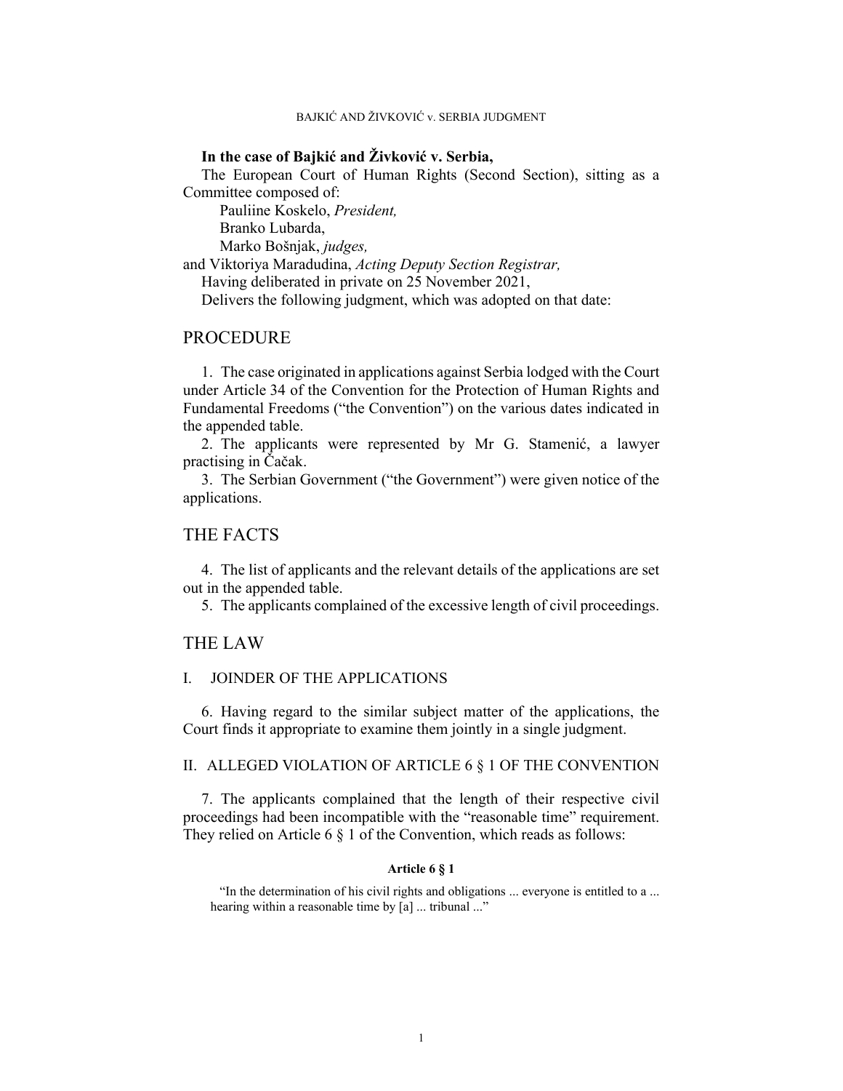BAJKIĆ AND ŽIVKOVIĆ v. SERBIA JUDGMENT

## **In the case of Bajkić and Živković v. Serbia,**

The European Court of Human Rights (Second Section), sitting as a Committee composed of:

 Pauliine Koskelo, *President,*  Branko Lubarda,

Marko Bošnjak, *judges,*

and Viktoriya Maradudina, *Acting Deputy Section Registrar,*

Having deliberated in private on 25 November 2021,

Delivers the following judgment, which was adopted on that date:

# **PROCEDURE**

1. The case originated in applications against Serbia lodged with the Court under Article 34 of the Convention for the Protection of Human Rights and Fundamental Freedoms ("the Convention") on the various dates indicated in the appended table.

2. The applicants were represented by Mr G. Stamenić, a lawyer practising in Čačak.

3. The Serbian Government ("the Government") were given notice of the applications.

## THE FACTS

4. The list of applicants and the relevant details of the applications are set out in the appended table.

5. The applicants complained of the excessive length of civil proceedings.

### THE LAW

### I. JOINDER OF THE APPLICATIONS

6. Having regard to the similar subject matter of the applications, the Court finds it appropriate to examine them jointly in a single judgment.

## II. ALLEGED VIOLATION OF ARTICLE 6 § 1 OF THE CONVENTION

7. The applicants complained that the length of their respective civil proceedings had been incompatible with the "reasonable time" requirement. They relied on Article 6  $\S$  1 of the Convention, which reads as follows:

#### **Article 6 § 1**

"In the determination of his civil rights and obligations ... everyone is entitled to a ... hearing within a reasonable time by [a] ... tribunal ..."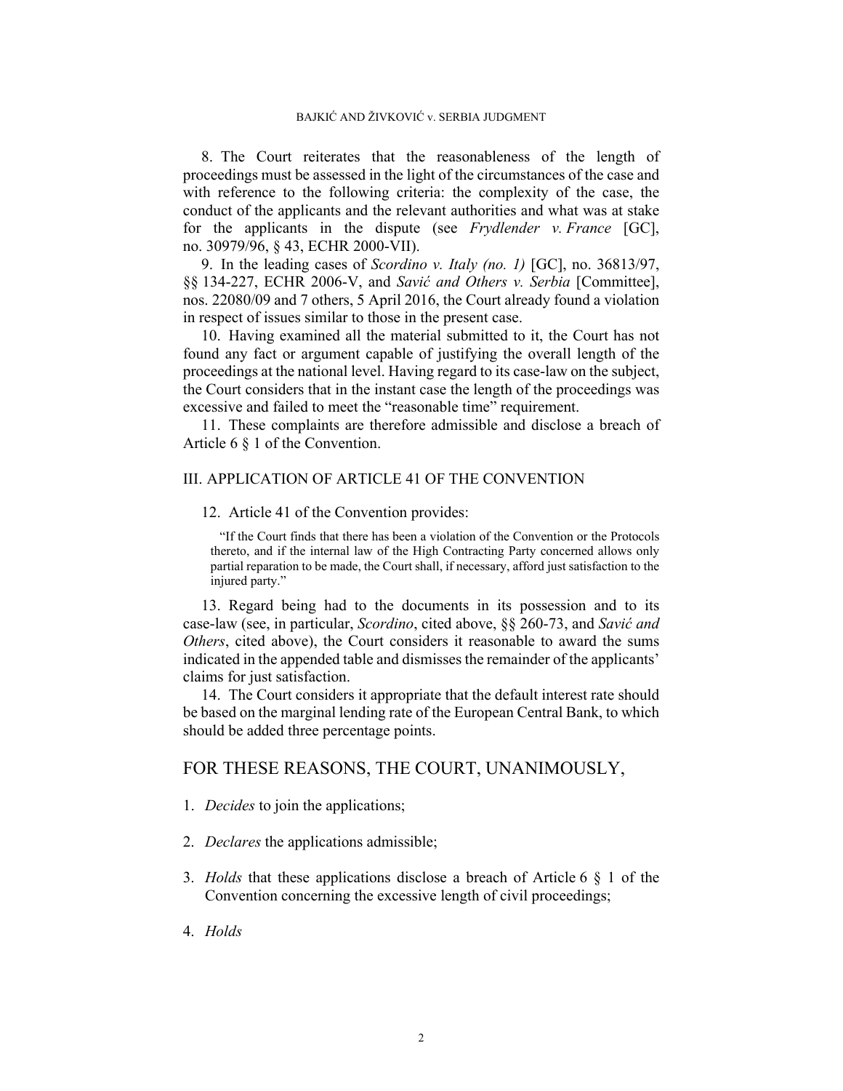8. The Court reiterates that the reasonableness of the length of proceedings must be assessed in the light of the circumstances of the case and with reference to the following criteria: the complexity of the case, the conduct of the applicants and the relevant authorities and what was at stake for the applicants in the dispute (see *Frydlender v. France* [GC], no. 30979/96, § 43, ECHR 2000-VII).

9. In the leading cases of *Scordino v. Italy (no. 1)* [GC], no. 36813/97, §§ 134-227, ECHR 2006-V, and *Savić and Others v. Serbia* [Committee], nos. 22080/09 and 7 others, 5 April 2016, the Court already found a violation in respect of issues similar to those in the present case.

10. Having examined all the material submitted to it, the Court has not found any fact or argument capable of justifying the overall length of the proceedings at the national level. Having regard to its case-law on the subject, the Court considers that in the instant case the length of the proceedings was excessive and failed to meet the "reasonable time" requirement.

11. These complaints are therefore admissible and disclose a breach of Article 6 § 1 of the Convention.

### III. APPLICATION OF ARTICLE 41 OF THE CONVENTION

#### 12. Article 41 of the Convention provides:

"If the Court finds that there has been a violation of the Convention or the Protocols thereto, and if the internal law of the High Contracting Party concerned allows only partial reparation to be made, the Court shall, if necessary, afford just satisfaction to the injured party."

13. Regard being had to the documents in its possession and to its case-law (see, in particular, *Scordino*, cited above, §§ 260-73, and *Savić and Others*, cited above), the Court considers it reasonable to award the sums indicated in the appended table and dismisses the remainder of the applicants' claims for just satisfaction.

14. The Court considers it appropriate that the default interest rate should be based on the marginal lending rate of the European Central Bank, to which should be added three percentage points.

## FOR THESE REASONS, THE COURT, UNANIMOUSLY,

- 1. *Decides* to join the applications;
- 2. *Declares* the applications admissible;
- 3. *Holds* that these applications disclose a breach of Article 6 § 1 of the Convention concerning the excessive length of civil proceedings;
- 4. *Holds*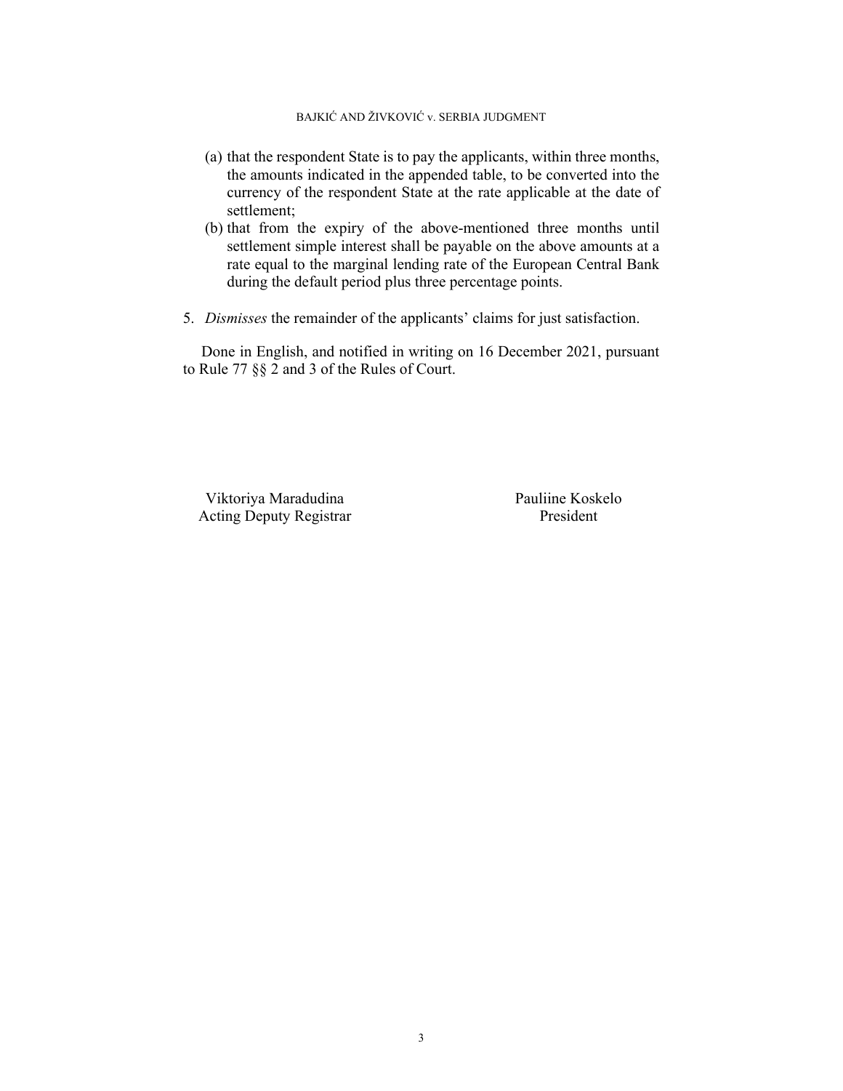## BAJKIĆ AND ŽIVKOVIĆ v. SERBIA JUDGMENT

- (a) that the respondent State is to pay the applicants, within three months, the amounts indicated in the appended table, to be converted into the currency of the respondent State at the rate applicable at the date of settlement;
- (b) that from the expiry of the above-mentioned three months until settlement simple interest shall be payable on the above amounts at a rate equal to the marginal lending rate of the European Central Bank during the default period plus three percentage points.
- 5. *Dismisses* the remainder of the applicants' claims for just satisfaction.

Done in English, and notified in writing on 16 December 2021, pursuant to Rule 77 §§ 2 and 3 of the Rules of Court.

Viktoriya Maradudina Pauliine Koskelo Acting Deputy Registrar President